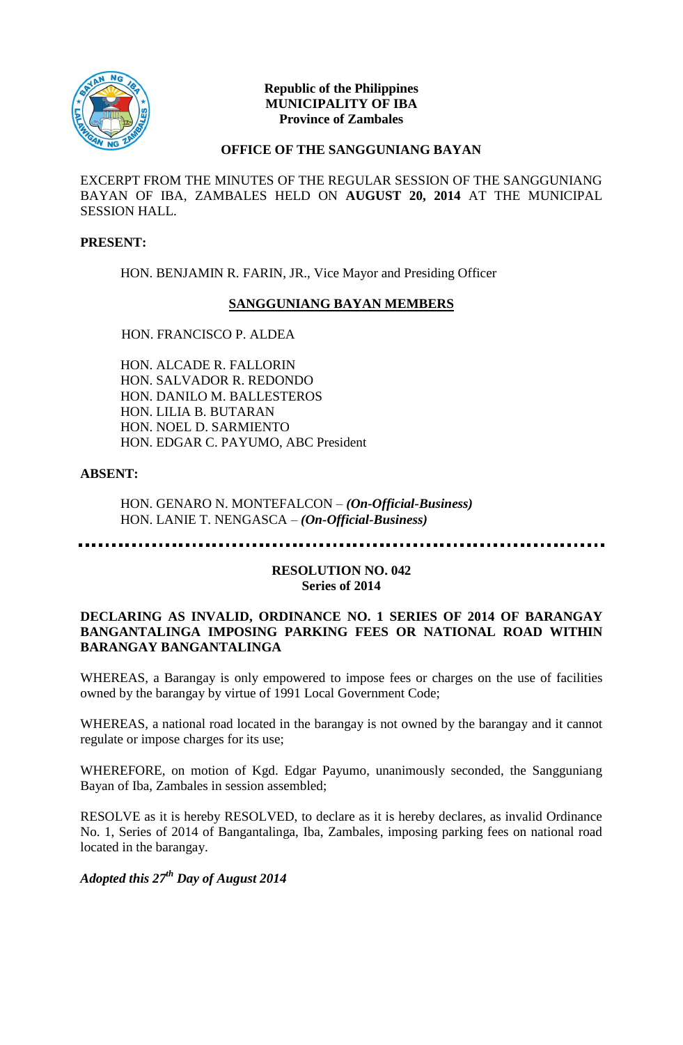

#### **Republic of the Philippines MUNICIPALITY OF IBA Province of Zambales**

#### **OFFICE OF THE SANGGUNIANG BAYAN**

EXCERPT FROM THE MINUTES OF THE REGULAR SESSION OF THE SANGGUNIANG BAYAN OF IBA, ZAMBALES HELD ON **AUGUST 20, 2014** AT THE MUNICIPAL SESSION HALL.

# **PRESENT:**

HON. BENJAMIN R. FARIN, JR., Vice Mayor and Presiding Officer

# **SANGGUNIANG BAYAN MEMBERS**

# HON. FRANCISCO P. ALDEA

HON. ALCADE R. FALLORIN HON. SALVADOR R. REDONDO HON. DANILO M. BALLESTEROS HON. LILIA B. BUTARAN HON. NOEL D. SARMIENTO HON. EDGAR C. PAYUMO, ABC President

# **ABSENT:**

HON. GENARO N. MONTEFALCON – *(On-Official-Business)* HON. LANIE T. NENGASCA – *(On-Official-Business)*

#### **RESOLUTION NO. 042 Series of 2014**

#### **DECLARING AS INVALID, ORDINANCE NO. 1 SERIES OF 2014 OF BARANGAY BANGANTALINGA IMPOSING PARKING FEES OR NATIONAL ROAD WITHIN BARANGAY BANGANTALINGA**

WHEREAS, a Barangay is only empowered to impose fees or charges on the use of facilities owned by the barangay by virtue of 1991 Local Government Code;

WHEREAS, a national road located in the barangay is not owned by the barangay and it cannot regulate or impose charges for its use;

WHEREFORE, on motion of Kgd. Edgar Payumo, unanimously seconded, the Sangguniang Bayan of Iba, Zambales in session assembled;

RESOLVE as it is hereby RESOLVED, to declare as it is hereby declares, as invalid Ordinance No. 1, Series of 2014 of Bangantalinga, Iba, Zambales, imposing parking fees on national road located in the barangay.

*Adopted this 27th Day of August 2014*